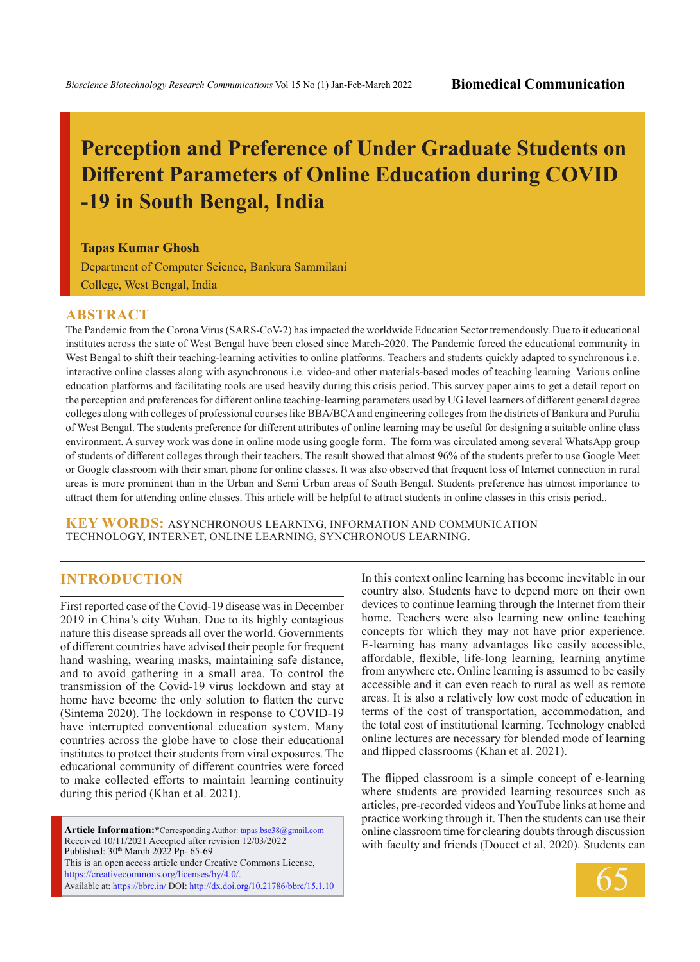# **Perception and Preference of Under Graduate Students on Different Parameters of Online Education during COVID -19 in South Bengal, India**

**Tapas Kumar Ghosh**

Department of Computer Science, Bankura Sammilani College, West Bengal, India

#### **ABSTRACT**

The Pandemic from the Corona Virus (SARS-CoV-2) has impacted the worldwide Education Sector tremendously. Due to it educational institutes across the state of West Bengal have been closed since March-2020. The Pandemic forced the educational community in West Bengal to shift their teaching-learning activities to online platforms. Teachers and students quickly adapted to synchronous i.e. interactive online classes along with asynchronous i.e. video-and other materials-based modes of teaching learning. Various online education platforms and facilitating tools are used heavily during this crisis period. This survey paper aims to get a detail report on the perception and preferences for different online teaching-learning parameters used by UG level learners of different general degree colleges along with colleges of professional courses like BBA/BCA and engineering colleges from the districts of Bankura and Purulia of West Bengal. The students preference for different attributes of online learning may be useful for designing a suitable online class environment. A survey work was done in online mode using google form. The form was circulated among several WhatsApp group of students of different colleges through their teachers. The result showed that almost 96% of the students prefer to use Google Meet or Google classroom with their smart phone for online classes. It was also observed that frequent loss of Internet connection in rural areas is more prominent than in the Urban and Semi Urban areas of South Bengal. Students preference has utmost importance to attract them for attending online classes. This article will be helpful to attract students in online classes in this crisis period..

**KEY WORDS:** Asynchronous Learning, Information and Communication Technology, Internet, Online Learning, Synchronous Learning.

### **INTRODUCTION**

First reported case of the Covid-19 disease was in December 2019 in China's city Wuhan. Due to its highly contagious nature this disease spreads all over the world. Governments of different countries have advised their people for frequent hand washing, wearing masks, maintaining safe distance, and to avoid gathering in a small area. To control the transmission of the Covid-19 virus lockdown and stay at home have become the only solution to flatten the curve (Sintema 2020). The lockdown in response to COVID-19 have interrupted conventional education system. Many countries across the globe have to close their educational institutes to protect their students from viral exposures. The educational community of different countries were forced to make collected efforts to maintain learning continuity during this period (Khan et al. 2021).

**Article Information:\***Corresponding Author: tapas.bsc38@gmail.com Received 10/11/2021 Accepted after revision 12/03/2022 Published: 30<sup>th</sup> March 2022 Pp- 65-69 This is an open access article under Creative Commons License, https://creativecommons.org/licenses/by/4.0/. Available at: https://bbrc.in/ DOI: http://dx.doi.org/10.21786/bbrc/15.1.10 In this context online learning has become inevitable in our country also. Students have to depend more on their own devices to continue learning through the Internet from their home. Teachers were also learning new online teaching concepts for which they may not have prior experience. E-learning has many advantages like easily accessible, affordable, flexible, life-long learning, learning anytime from anywhere etc. Online learning is assumed to be easily accessible and it can even reach to rural as well as remote areas. It is also a relatively low cost mode of education in terms of the cost of transportation, accommodation, and the total cost of institutional learning. Technology enabled online lectures are necessary for blended mode of learning and flipped classrooms (Khan et al. 2021).

The flipped classroom is a simple concept of e-learning where students are provided learning resources such as articles, pre-recorded videos and YouTube links at home and practice working through it. Then the students can use their online classroom time for clearing doubts through discussion with faculty and friends (Doucet et al. 2020). Students can

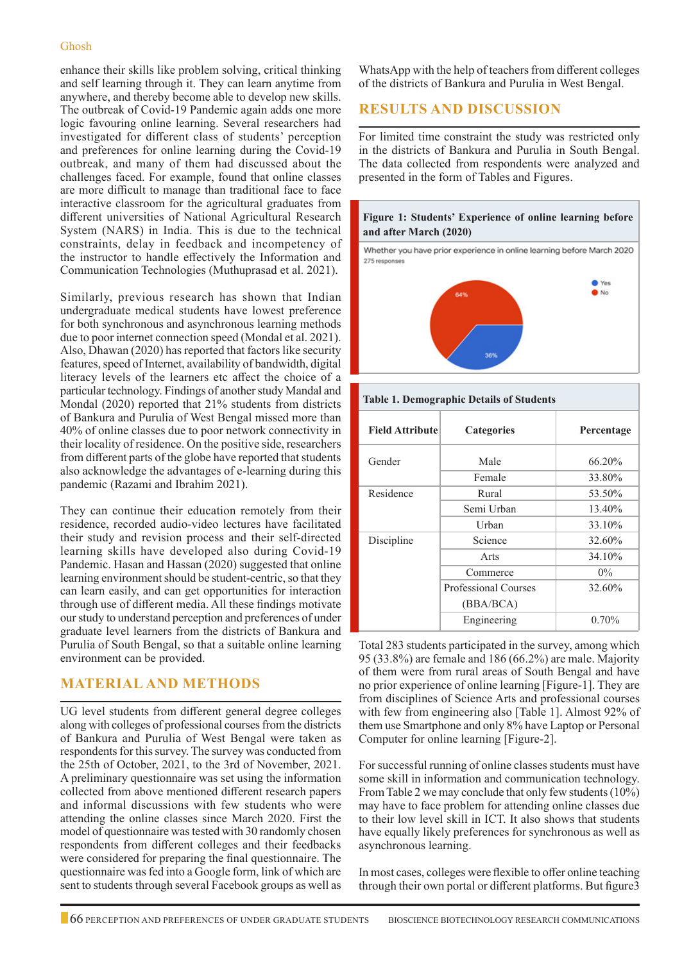#### Ghosh

enhance their skills like problem solving, critical thinking and self learning through it. They can learn anytime from anywhere, and thereby become able to develop new skills. The outbreak of Covid-19 Pandemic again adds one more logic favouring online learning. Several researchers had investigated for different class of students' perception and preferences for online learning during the Covid-19 outbreak, and many of them had discussed about the challenges faced. For example, found that online classes are more difficult to manage than traditional face to face interactive classroom for the agricultural graduates from different universities of National Agricultural Research System (NARS) in India. This is due to the technical constraints, delay in feedback and incompetency of the instructor to handle effectively the Information and Communication Technologies (Muthuprasad et al. 2021).

Similarly, previous research has shown that Indian undergraduate medical students have lowest preference for both synchronous and asynchronous learning methods due to poor internet connection speed (Mondal et al. 2021). Also, Dhawan (2020) has reported that factors like security features, speed of Internet, availability of bandwidth, digital literacy levels of the learners etc affect the choice of a particular technology. Findings of another study Mandal and Mondal (2020) reported that 21% students from districts of Bankura and Purulia of West Bengal missed more than 40% of online classes due to poor network connectivity in their locality of residence. On the positive side, researchers from different parts of the globe have reported that students also acknowledge the advantages of e-learning during this pandemic (Razami and Ibrahim 2021).

They can continue their education remotely from their residence, recorded audio-video lectures have facilitated their study and revision process and their self-directed learning skills have developed also during Covid-19 Pandemic. Hasan and Hassan (2020) suggested that online learning environment should be student-centric, so that they can learn easily, and can get opportunities for interaction through use of different media. All these findings motivate our study to understand perception and preferences of under graduate level learners from the districts of Bankura and Purulia of South Bengal, so that a suitable online learning environment can be provided.

## **Material and Methods**

UG level students from different general degree colleges along with colleges of professional courses from the districts of Bankura and Purulia of West Bengal were taken as respondents for this survey. The survey was conducted from the 25th of October, 2021, to the 3rd of November, 2021. A preliminary questionnaire was set using the information collected from above mentioned different research papers and informal discussions with few students who were attending the online classes since March 2020. First the model of questionnaire was tested with 30 randomly chosen respondents from different colleges and their feedbacks were considered for preparing the final questionnaire. The questionnaire was fed into a Google form, link of which are sent to students through several Facebook groups as well as

WhatsApp with the help of teachers from different colleges of the districts of Bankura and Purulia in West Bengal.

# **Results and Discussion**

For limited time constraint the study was restricted only in the districts of Bankura and Purulia in South Bengal. The data collected from respondents were analyzed and presented in the form of Tables and Figures.



Whether you have prior experience in online learning before March 2020 275 responses



#### **Table 1. Demographic Details of Students**

| <b>Field Attribute</b> | <b>Categories</b>    | Percentage |
|------------------------|----------------------|------------|
| Gender                 | Male                 | 66.20%     |
|                        | Female               | 33.80%     |
| Residence              | Rural                | 53.50%     |
|                        | Semi Urban           | 13.40%     |
|                        | Urban                | 33.10%     |
| Discipline             | Science              | 32.60%     |
|                        | Arts                 | 34.10%     |
|                        | Commerce             | $0\%$      |
|                        | Professional Courses | 32.60%     |
|                        | (BBA/BCA)            |            |
|                        | Engineering          | 0.70%      |

Total 283 students participated in the survey, among which 95 (33.8%) are female and 186 (66.2%) are male. Majority of them were from rural areas of South Bengal and have no prior experience of online learning [Figure-1]. They are from disciplines of Science Arts and professional courses with few from engineering also [Table 1]. Almost 92% of them use Smartphone and only 8% have Laptop or Personal Computer for online learning [Figure-2].

For successful running of online classes students must have some skill in information and communication technology. From Table 2 we may conclude that only few students (10%) may have to face problem for attending online classes due to their low level skill in ICT. It also shows that students have equally likely preferences for synchronous as well as asynchronous learning.

In most cases, colleges were flexible to offer online teaching through their own portal or different platforms. But figure3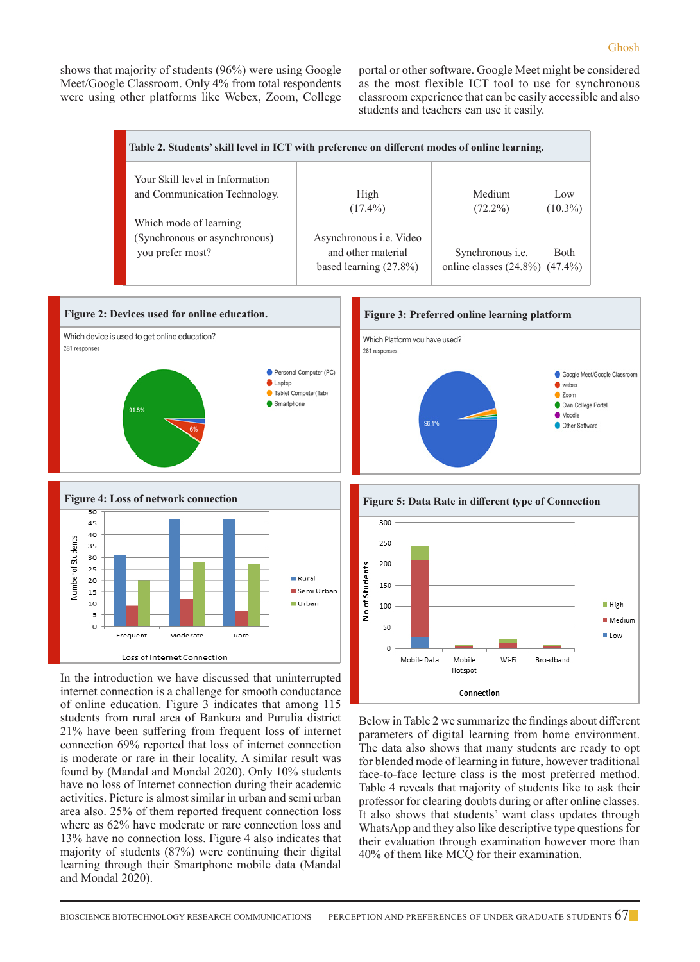shows that majority of students (96%) were using Google Meet/Google Classroom. Only 4% from total respondents were using other platforms like Webex, Zoom, College portal or other software. Google Meet might be considered as the most flexible ICT tool to use for synchronous classroom experience that can be easily accessible and also students and teachers can use it easily.

| Table 2. Students' skill level in ICT with preference on different modes of online learning. |                                |                                      |             |  |  |  |  |
|----------------------------------------------------------------------------------------------|--------------------------------|--------------------------------------|-------------|--|--|--|--|
| Your Skill level in Information                                                              |                                |                                      |             |  |  |  |  |
| and Communication Technology.                                                                | High                           | Medium                               | Low         |  |  |  |  |
|                                                                                              | $(17.4\%)$                     | $(72.2\%)$                           | $(10.3\%)$  |  |  |  |  |
| Which mode of learning                                                                       |                                |                                      |             |  |  |  |  |
| (Synchronous or asynchronous)                                                                | Asynchronous <i>i.e.</i> Video |                                      |             |  |  |  |  |
| you prefer most?                                                                             | and other material             | Synchronous <i>i.e.</i>              | <b>Both</b> |  |  |  |  |
|                                                                                              | based learning $(27.8\%)$      | online classes $(24.8\%)$ $(47.4\%)$ |             |  |  |  |  |
|                                                                                              |                                |                                      |             |  |  |  |  |





In the introduction we have discussed that uninterrupted internet connection is a challenge for smooth conductance of online education. Figure 3 indicates that among 115 students from rural area of Bankura and Purulia district 21% have been suffering from frequent loss of internet connection 69% reported that loss of internet connection is moderate or rare in their locality. A similar result was found by (Mandal and Mondal 2020). Only 10% students have no loss of Internet connection during their academic activities. Picture is almost similar in urban and semi urban area also. 25% of them reported frequent connection loss where as 62% have moderate or rare connection loss and 13% have no connection loss. Figure 4 also indicates that majority of students (87%) were continuing their digital learning through their Smartphone mobile data (Mandal and Mondal 2020).



Below in Table 2 we summarize the findings about different parameters of digital learning from home environment. The data also shows that many students are ready to opt for blended mode of learning in future, however traditional face-to-face lecture class is the most preferred method. Table 4 reveals that majority of students like to ask their professor for clearing doubts during or after online classes. It also shows that students' want class updates through WhatsApp and they also like descriptive type questions for their evaluation through examination however more than 40% of them like MCQ for their examination.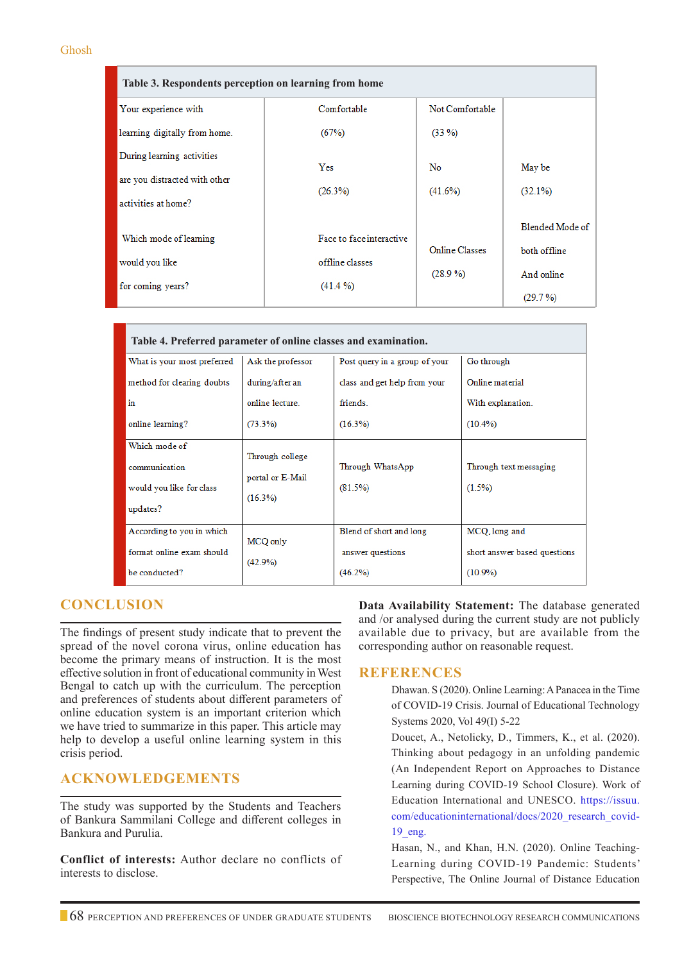#### Ghosh

| Table 3. Respondents perception on learning from home |                                             |                                     |                                               |  |  |
|-------------------------------------------------------|---------------------------------------------|-------------------------------------|-----------------------------------------------|--|--|
| Your experience with                                  | Comfortable                                 | Not Comfortable                     |                                               |  |  |
| learning digitally from home.                         | (67%)                                       | $(33\%)$                            |                                               |  |  |
| During learning activities                            | Yes                                         | No                                  | May be                                        |  |  |
| are you distracted with other<br>activities at home?  | (26.3%)                                     | $(41.6\%)$                          | $(32.1\%)$                                    |  |  |
| Which mode of learning<br>would you like              | Face to face interactive<br>offline classes | <b>Online Classes</b><br>$(28.9\%)$ | Blended Mode of<br>both offline<br>And online |  |  |
| for coming years?                                     | $(41.4\%)$                                  |                                     | (29.7%)                                       |  |  |

| Table 4. Preferred parameter of online classes and examination. |                   |                               |                              |  |  |  |  |
|-----------------------------------------------------------------|-------------------|-------------------------------|------------------------------|--|--|--|--|
| What is your most preferred                                     | Ask the professor | Post query in a group of your | Go through                   |  |  |  |  |
| method for clearing doubts                                      | during/after an   | class and get help from your  | Online material              |  |  |  |  |
| $\mathbf{in}$                                                   | online lecture    | friends.                      | With explanation.            |  |  |  |  |
| online learning?                                                | $(73.3\%)$        | $(16.3\%)$                    | $(10.4\%)$                   |  |  |  |  |
| Which mode of                                                   | Through college   |                               |                              |  |  |  |  |
| communication                                                   | portal or E-Mail  | Through WhatsApp              | Through text messaging       |  |  |  |  |
| would you like for class                                        | $(16.3\%)$        | $(81.5\%)$                    | $(1.5\%)$                    |  |  |  |  |
| updates?                                                        |                   |                               |                              |  |  |  |  |
| According to you in which                                       | MCQ only          | Blend of short and long       | MCQ.long and                 |  |  |  |  |
| format online exam should                                       | (42.9%)           | answer questions              | short answer based questions |  |  |  |  |
| be conducted?                                                   |                   | $(46.2\%)$                    | $(10.9\%)$                   |  |  |  |  |

## **Conclusion**

The findings of present study indicate that to prevent the spread of the novel corona virus, online education has become the primary means of instruction. It is the most effective solution in front of educational community in West Bengal to catch up with the curriculum. The perception and preferences of students about different parameters of online education system is an important criterion which we have tried to summarize in this paper. This article may help to develop a useful online learning system in this crisis period.

# **Acknowledgements**

The study was supported by the Students and Teachers of Bankura Sammilani College and different colleges in Bankura and Purulia.

**Conflict of interests:** Author declare no conflicts of interests to disclose.

**Data Availability Statement:** The database generated and /or analysed during the current study are not publicly available due to privacy, but are available from the corresponding author on reasonable request.

## **References**

- Dhawan. S (2020). Online Learning: A Panacea in the Time of COVID-19 Crisis. Journal of Educational Technology Systems 2020, Vol 49(I) 5-22
- Doucet, A., Netolicky, D., Timmers, K., et al. (2020). Thinking about pedagogy in an unfolding pandemic (An Independent Report on Approaches to Distance Learning during COVID-19 School Closure). Work of Education International and UNESCO. https://issuu. com/educationinternational/docs/2020\_research\_covid-19\_eng.

 Hasan, N., and Khan, H.N. (2020). Online Teaching-Learning during COVID-19 Pandemic: Students' Perspective, The Online Journal of Distance Education